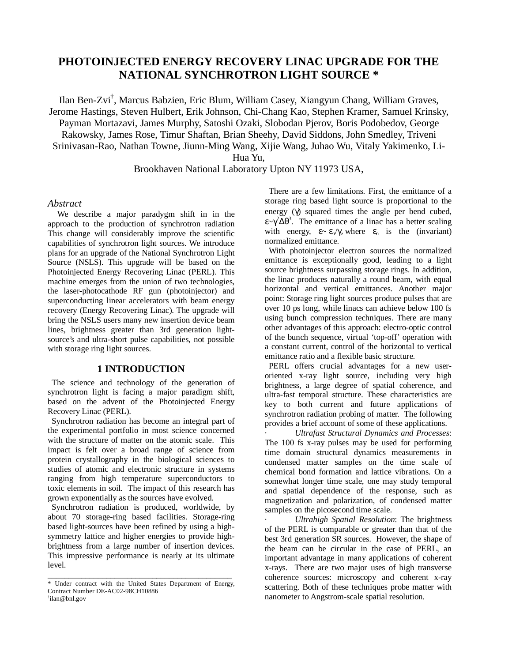# **PHOTOINJECTED ENERGY RECOVERY LINAC UPGRADE FOR THE NATIONAL SYNCHROTRON LIGHT SOURCE \***

Ilan Ben-Zvi† , Marcus Babzien, Eric Blum, William Casey, Xiangyun Chang, William Graves, Jerome Hastings, Steven Hulbert, Erik Johnson, Chi-Chang Kao, Stephen Kramer, Samuel Krinsky, Payman Mortazavi, James Murphy, Satoshi Ozaki, Slobodan Pjerov, Boris Podobedov, George Rakowsky, James Rose, Timur Shaftan, Brian Sheehy, David Siddons, John Smedley, Triveni Srinivasan-Rao, Nathan Towne, Jiunn-Ming Wang, Xijie Wang, Juhao Wu, Vitaly Yakimenko, Li-

Hua Yu,

# Brookhaven National Laboratory Upton NY 11973 USA,

#### *Abstract*

 We describe a major paradygm shift in in the approach to the production of synchrotron radiation This change will considerably improve the scientific capabilities of synchrotron light sources. We introduce plans for an upgrade of the National Synchrotron Light Source (NSLS). This upgrade will be based on the Photoinjected Energy Recovering Linac (PERL). This machine emerges from the union of two technologies, the laser-photocathode RF gun (photoinjector) and superconducting linear accelerators with beam energy recovery (Energy Recovering Linac). The upgrade will bring the NSLS users many new insertion device beam lines, brightness greater than 3rd generation lightsource's and ultra-short pulse capabilities, not possible with storage ring light sources.

### **1 INTRODUCTION**

 The science and technology of the generation of synchrotron light is facing a major paradigm shift, based on the advent of the Photoinjected Energy Recovery Linac (PERL).

 Synchrotron radiation has become an integral part of the experimental portfolio in most science concerned with the structure of matter on the atomic scale. This impact is felt over a broad range of science from protein crystallography in the biological sciences to studies of atomic and electronic structure in systems ranging from high temperature superconductors to toxic elements in soil. The impact of this research has grown exponentially as the sources have evolved.

 Synchrotron radiation is produced, worldwide, by about 70 storage-ring based facilities. Storage-ring based light-sources have been refined by using a highsymmetry lattice and higher energies to provide highbrightness from a large number of insertion devices. This impressive performance is nearly at its ultimate level.

 There are a few limitations. First, the emittance of a storage ring based light source is proportional to the energy  $(γ)$  squared times the angle per bend cubed,  $\epsilon \sim \gamma^2 \Delta \theta^3$ . The emittance of a linac has a better scaling with energy,  $\varepsilon \sim \varepsilon_n / \gamma$ , where  $\varepsilon_n$  is the (invariant) normalized emittance.

 With photoinjector electron sources the normalized emittance is exceptionally good, leading to a light source brightness surpassing storage rings. In addition, the linac produces naturally a round beam, with equal horizontal and vertical emittances. Another major point: Storage ring light sources produce pulses that are over 10 ps long, while linacs can achieve below 100 fs using bunch compression techniques. There are many other advantages of this approach: electro-optic control of the bunch sequence, virtual 'top-off' operation with a constant current, control of the horizontal to vertical emittance ratio and a flexible basic structure.

 PERL offers crucial advantages for a new useroriented x-ray light source, including very high brightness, a large degree of spatial coherence, and ultra-fast temporal structure. These characteristics are key to both current and future applications of synchrotron radiation probing of matter. The following provides a brief account of some of these applications.

· *Ultrafast Structural Dynamics and Processes*: The 100 fs x-ray pulses may be used for performing time domain structural dynamics measurements in condensed matter samples on the time scale of chemical bond formation and lattice vibrations. On a somewhat longer time scale, one may study temporal and spatial dependence of the response, such as magnetization and polarization, of condensed matter samples on the picosecond time scale.

· *Ultrahigh Spatial Resolution*: The brightness of the PERL is comparable or greater than that of the best 3rd generation SR sources. However, the shape of the beam can be circular in the case of PERL, an important advantage in many applications of coherent x-rays. There are two major uses of high transverse coherence sources: microscopy and coherent x-ray scattering. Both of these techniques probe matter with nanometer to Angstrom-scale spatial resolution.

\_\_\_\_\_\_\_\_\_\_\_\_\_\_\_\_\_\_\_\_\_\_\_\_\_\_\_\_\_\_\_\_\_\_\_\_\_\_\_\_\_\_\_\_ \* Under contract with the United States Department of Energy, Contract Number DE-AC02-98CH10886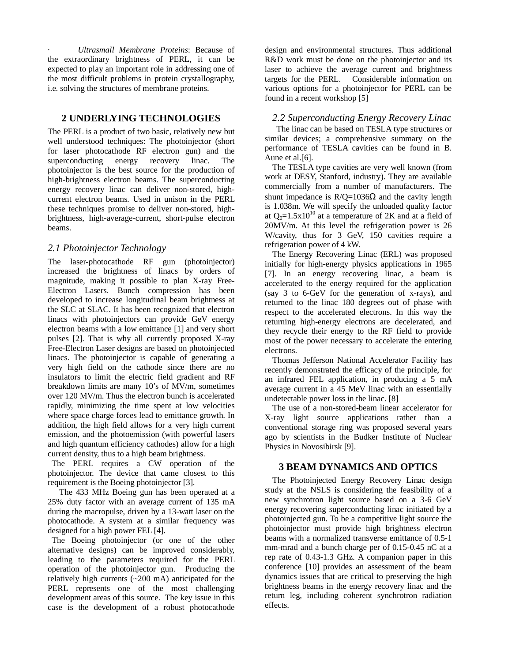· *Ultrasmall Membrane Proteins*: Because of the extraordinary brightness of PERL, it can be expected to play an important role in addressing one of the most difficult problems in protein crystallography, i.e. solving the structures of membrane proteins.

# **2 UNDERLYING TECHNOLOGIES**

The PERL is a product of two basic, relatively new but well understood techniques: The photoinjector (short for laser photocathode RF electron gun) and the superconducting energy recovery linac. The photoinjector is the best source for the production of high-brightness electron beams. The superconducting energy recovery linac can deliver non-stored, highcurrent electron beams. Used in unison in the PERL these techniques promise to deliver non-stored, highbrightness, high-average-current, short-pulse electron beams.

### *2.1 Photoinjector Technology*

The laser-photocathode RF gun (photoinjector) increased the brightness of linacs by orders of magnitude, making it possible to plan X-ray Free-Electron Lasers. Bunch compression has been developed to increase longitudinal beam brightness at the SLC at SLAC. It has been recognized that electron linacs with photoinjectors can provide GeV energy electron beams with a low emittance [1] and very short pulses [2]. That is why all currently proposed X-ray Free-Electron Laser designs are based on photoinjected linacs. The photoinjector is capable of generating a very high field on the cathode since there are no insulators to limit the electric field gradient and RF breakdown limits are many 10's of MV/m, sometimes over 120 MV/m. Thus the electron bunch is accelerated rapidly, minimizing the time spent at low velocities where space charge forces lead to emittance growth. In addition, the high field allows for a very high current emission, and the photoemission (with powerful lasers and high quantum efficiency cathodes) allow for a high current density, thus to a high beam brightness.

 The PERL requires a CW operation of the photoinjector. The device that came closest to this requirement is the Boeing photoinjector [3].

 The 433 MHz Boeing gun has been operated at a 25% duty factor with an average current of 135 mA during the macropulse, driven by a 13-watt laser on the photocathode. A system at a similar frequency was designed for a high power FEL [4].

 The Boeing photoinjector (or one of the other alternative designs) can be improved considerably, leading to the parameters required for the PERL operation of the photoinjector gun. Producing the relatively high currents (~200 mA) anticipated for the PERL represents one of the most challenging development areas of this source. The key issue in this case is the development of a robust photocathode

design and environmental structures. Thus additional R&D work must be done on the photoinjector and its laser to achieve the average current and brightness targets for the PERL. Considerable information on various options for a photoinjector for PERL can be found in a recent workshop [5]

### *2.2 Superconducting Energy Recovery Linac*

 The linac can be based on TESLA type structures or similar devices; a comprehensive summary on the performance of TESLA cavities can be found in B. Aune et al.[6].

The TESLA type cavities are very well known (from work at DESY, Stanford, industry). They are available commercially from a number of manufacturers. The shunt impedance is  $R/O = 1036\Omega$  and the cavity length is 1.038m. We will specify the unloaded quality factor at  $Q_0=1.5x10^{10}$  at a temperature of 2K and at a field of 20MV/m. At this level the refrigeration power is 26 W/cavity, thus for 3 GeV, 150 cavities require a refrigeration power of 4 kW.

The Energy Recovering Linac (ERL) was proposed initially for high-energy physics applications in 1965 [7]. In an energy recovering linac, a beam is accelerated to the energy required for the application (say 3 to 6-GeV for the generation of x-rays), and returned to the linac 180 degrees out of phase with respect to the accelerated electrons. In this way the returning high-energy electrons are decelerated, and they recycle their energy to the RF field to provide most of the power necessary to accelerate the entering electrons.

Thomas Jefferson National Accelerator Facility has recently demonstrated the efficacy of the principle, for an infrared FEL application, in producing a 5 mA average current in a 45 MeV linac with an essentially undetectable power loss in the linac. [8]

The use of a non-stored-beam linear accelerator for X-ray light source applications rather than a conventional storage ring was proposed several years ago by scientists in the Budker Institute of Nuclear Physics in Novosibirsk [9].

# **3 BEAM DYNAMICS AND OPTICS**

The Photoinjected Energy Recovery Linac design study at the NSLS is considering the feasibility of a new synchrotron light source based on a 3-6 GeV energy recovering superconducting linac initiated by a photoinjected gun. To be a competitive light source the photoinjector must provide high brightness electron beams with a normalized transverse emittance of 0.5-1 mm-mrad and a bunch charge per of 0.15-0.45 nC at a rep rate of 0.43-1.3 GHz. A companion paper in this conference [10] provides an assessment of the beam dynamics issues that are critical to preserving the high brightness beams in the energy recovery linac and the return leg, including coherent synchrotron radiation effects.